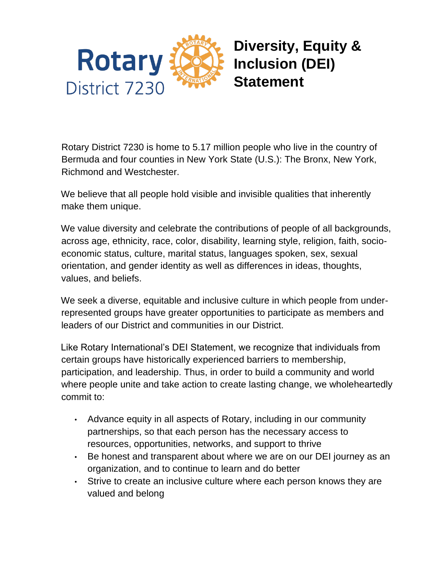

**Diversity, Equity & Inclusion (DEI) Statement**

Rotary District 7230 is home to 5.17 million people who live in the country of Bermuda and four counties in New York State (U.S.): The Bronx, New York, Richmond and Westchester.

We believe that all people hold visible and invisible qualities that inherently make them unique.

We value diversity and celebrate the contributions of people of all backgrounds, across age, ethnicity, race, color, disability, learning style, religion, faith, socioeconomic status, culture, marital status, languages spoken, sex, sexual orientation, and gender identity as well as differences in ideas, thoughts, values, and beliefs.

We seek a diverse, equitable and inclusive culture in which people from underrepresented groups have greater opportunities to participate as members and leaders of our District and communities in our District.

Like Rotary International's DEI Statement, we recognize that individuals from certain groups have historically experienced barriers to membership, participation, and leadership. Thus, in order to build a community and world where people unite and take action to create lasting change, we wholeheartedly commit to:

- Advance equity in all aspects of Rotary, including in our community partnerships, so that each person has the necessary access to resources, opportunities, networks, and support to thrive
- Be honest and transparent about where we are on our DEI journey as an organization, and to continue to learn and do better
- Strive to create an inclusive culture where each person knows they are valued and belong